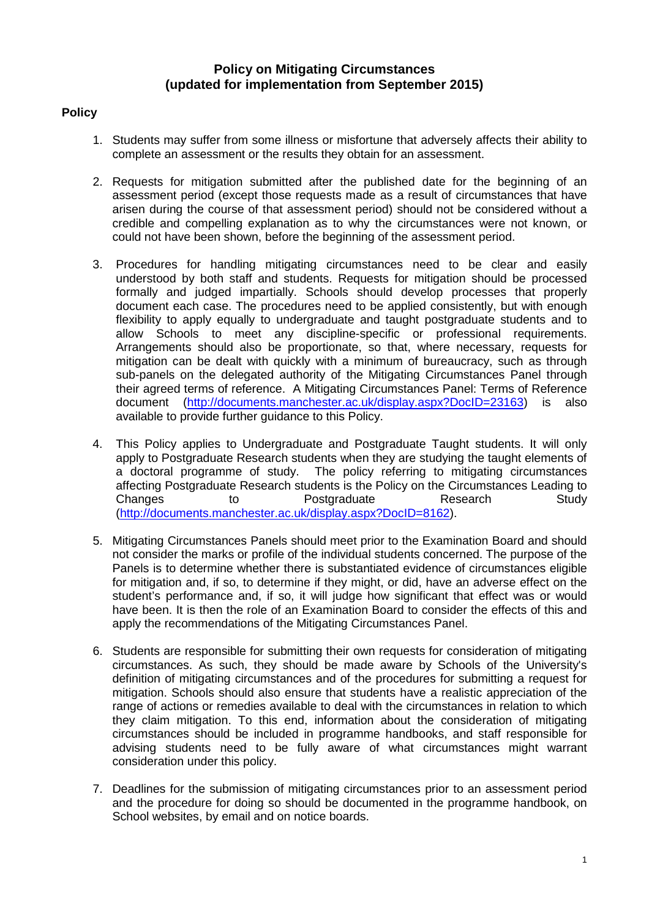# **Policy on Mitigating Circumstances (updated for implementation from September 2015)**

# **Policy**

- 1. Students may suffer from some illness or misfortune that adversely affects their ability to complete an assessment or the results they obtain for an assessment.
- 2. Requests for mitigation submitted after the published date for the beginning of an assessment period (except those requests made as a result of circumstances that have arisen during the course of that assessment period) should not be considered without a credible and compelling explanation as to why the circumstances were not known, or could not have been shown, before the beginning of the assessment period.
- 3. Procedures for handling mitigating circumstances need to be clear and easily understood by both staff and students. Requests for mitigation should be processed formally and judged impartially. Schools should develop processes that properly document each case. The procedures need to be applied consistently, but with enough flexibility to apply equally to undergraduate and taught postgraduate students and to allow Schools to meet any discipline-specific or professional requirements. Arrangements should also be proportionate, so that, where necessary, requests for mitigation can be dealt with quickly with a minimum of bureaucracy, such as through sub-panels on the delegated authority of the Mitigating Circumstances Panel through their agreed terms of reference. A Mitigating Circumstances Panel: Terms of Reference document [\(http://documents.manchester.ac.uk/display.aspx?DocID=23163\)](http://documents.manchester.ac.uk/display.aspx?DocID=23163) is also available to provide further guidance to this Policy.
- 4. This Policy applies to Undergraduate and Postgraduate Taught students. It will only apply to Postgraduate Research students when they are studying the taught elements of a doctoral programme of study. The policy referring to mitigating circumstances affecting Postgraduate Research students is the Policy on the Circumstances Leading to Changes to Postgraduate Research Study [\(http://documents.manchester.ac.uk/display.aspx?DocID=8162\)](http://documents.manchester.ac.uk/display.aspx?DocID=8162).
- 5. Mitigating Circumstances Panels should meet prior to the Examination Board and should not consider the marks or profile of the individual students concerned. The purpose of the Panels is to determine whether there is substantiated evidence of circumstances eligible for mitigation and, if so, to determine if they might, or did, have an adverse effect on the student's performance and, if so, it will judge how significant that effect was or would have been. It is then the role of an Examination Board to consider the effects of this and apply the recommendations of the Mitigating Circumstances Panel.
- 6. Students are responsible for submitting their own requests for consideration of mitigating circumstances. As such, they should be made aware by Schools of the University's definition of mitigating circumstances and of the procedures for submitting a request for mitigation. Schools should also ensure that students have a realistic appreciation of the range of actions or remedies available to deal with the circumstances in relation to which they claim mitigation. To this end, information about the consideration of mitigating circumstances should be included in programme handbooks, and staff responsible for advising students need to be fully aware of what circumstances might warrant consideration under this policy.
- 7. Deadlines for the submission of mitigating circumstances prior to an assessment period and the procedure for doing so should be documented in the programme handbook, on School websites, by email and on notice boards.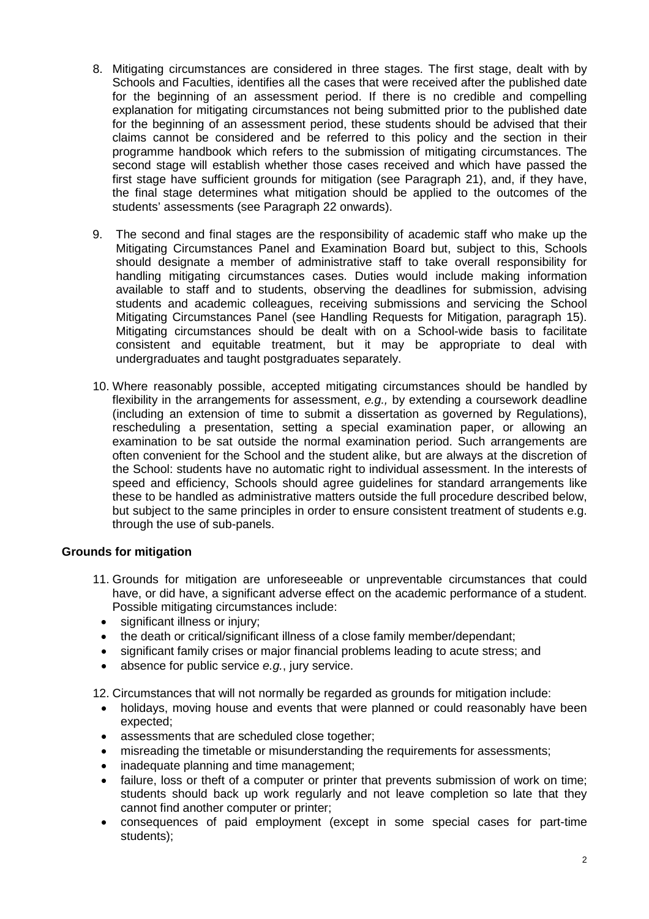- 8. Mitigating circumstances are considered in three stages. The first stage, dealt with by Schools and Faculties, identifies all the cases that were received after the published date for the beginning of an assessment period. If there is no credible and compelling explanation for mitigating circumstances not being submitted prior to the published date for the beginning of an assessment period, these students should be advised that their claims cannot be considered and be referred to this policy and the section in their programme handbook which refers to the submission of mitigating circumstances. The second stage will establish whether those cases received and which have passed the first stage have sufficient grounds for mitigation (see Paragraph 21), and, if they have, the final stage determines what mitigation should be applied to the outcomes of the students' assessments (see Paragraph 22 onwards).
- 9. The second and final stages are the responsibility of academic staff who make up the Mitigating Circumstances Panel and Examination Board but, subject to this, Schools should designate a member of administrative staff to take overall responsibility for handling mitigating circumstances cases. Duties would include making information available to staff and to students, observing the deadlines for submission, advising students and academic colleagues, receiving submissions and servicing the School Mitigating Circumstances Panel (see Handling Requests for Mitigation, paragraph 15). Mitigating circumstances should be dealt with on a School-wide basis to facilitate consistent and equitable treatment, but it may be appropriate to deal with undergraduates and taught postgraduates separately.
- 10. Where reasonably possible, accepted mitigating circumstances should be handled by flexibility in the arrangements for assessment, *e.g.,* by extending a coursework deadline (including an extension of time to submit a dissertation as governed by Regulations), rescheduling a presentation, setting a special examination paper, or allowing an examination to be sat outside the normal examination period. Such arrangements are often convenient for the School and the student alike, but are always at the discretion of the School: students have no automatic right to individual assessment. In the interests of speed and efficiency, Schools should agree guidelines for standard arrangements like these to be handled as administrative matters outside the full procedure described below, but subject to the same principles in order to ensure consistent treatment of students e.g. through the use of sub-panels.

## **Grounds for mitigation**

- 11. Grounds for mitigation are unforeseeable or unpreventable circumstances that could have, or did have, a significant adverse effect on the academic performance of a student. Possible mitigating circumstances include:
	- significant illness or injury;
	- the death or critical/significant illness of a close family member/dependant;
	- significant family crises or major financial problems leading to acute stress; and
	- absence for public service *e.g.*, jury service.

12. Circumstances that will not normally be regarded as grounds for mitigation include:

- holidays, moving house and events that were planned or could reasonably have been expected;
- assessments that are scheduled close together;
- misreading the timetable or misunderstanding the requirements for assessments;
- inadequate planning and time management;
- failure, loss or theft of a computer or printer that prevents submission of work on time; students should back up work regularly and not leave completion so late that they cannot find another computer or printer;
- consequences of paid employment (except in some special cases for part-time students);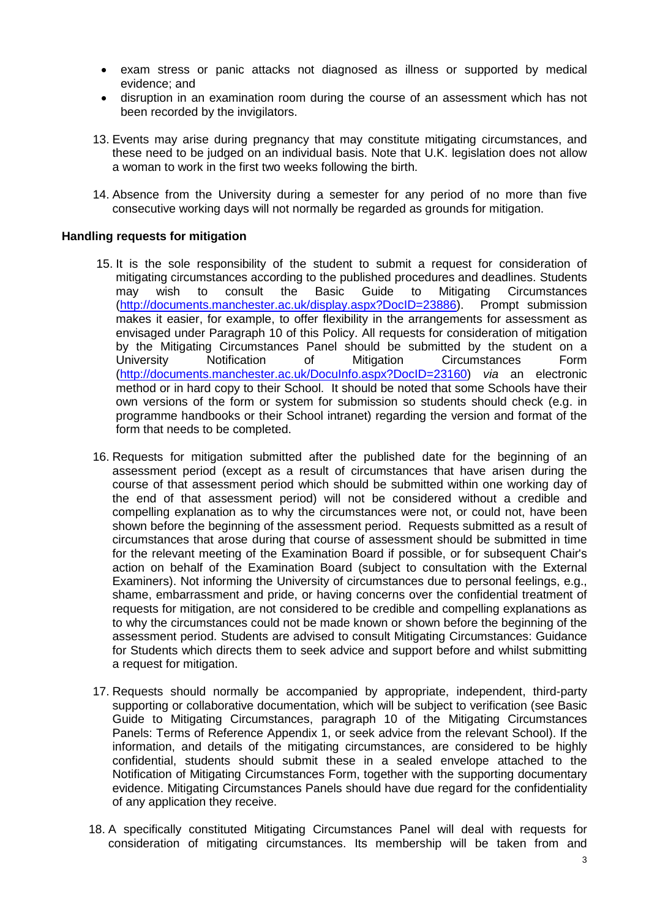- exam stress or panic attacks not diagnosed as illness or supported by medical evidence; and
- disruption in an examination room during the course of an assessment which has not been recorded by the invigilators.
- 13. Events may arise during pregnancy that may constitute mitigating circumstances, and these need to be judged on an individual basis. Note that U.K. legislation does not allow a woman to work in the first two weeks following the birth.
- 14. Absence from the University during a semester for any period of no more than five consecutive working days will not normally be regarded as grounds for mitigation.

#### **Handling requests for mitigation**

- 15. It is the sole responsibility of the student to submit a request for consideration of mitigating circumstances according to the published procedures and deadlines. Students may wish to consult the Basic Guide to Mitigating Circumstances<br>(http://documents.manchester.ac.uk/display.aspx?DocID=23886). Prompt submission [\(http://documents.manchester.ac.uk/display.aspx?DocID=23886\)](http://documents.manchester.ac.uk/display.aspx?DocID=23886). makes it easier, for example, to offer flexibility in the arrangements for assessment as envisaged under Paragraph 10 of this Policy. All requests for consideration of mitigation by the Mitigating Circumstances Panel should be submitted by the student on a<br>University Motification of Mitigation Circumstances Form University Notification of Mitigation Circumstances Form [\(http://documents.manchester.ac.uk/DocuInfo.aspx?DocID=23160\)](http://documents.manchester.ac.uk/DocuInfo.aspx?DocID=23160) *via* an electronic method or in hard copy to their School. It should be noted that some Schools have their own versions of the form or system for submission so students should check (e.g. in programme handbooks or their School intranet) regarding the version and format of the form that needs to be completed.
- 16. Requests for mitigation submitted after the published date for the beginning of an assessment period (except as a result of circumstances that have arisen during the course of that assessment period which should be submitted within one working day of the end of that assessment period) will not be considered without a credible and compelling explanation as to why the circumstances were not, or could not, have been shown before the beginning of the assessment period. Requests submitted as a result of circumstances that arose during that course of assessment should be submitted in time for the relevant meeting of the Examination Board if possible, or for subsequent Chair's action on behalf of the Examination Board (subject to consultation with the External Examiners). Not informing the University of circumstances due to personal feelings, e.g., shame, embarrassment and pride, or having concerns over the confidential treatment of requests for mitigation, are not considered to be credible and compelling explanations as to why the circumstances could not be made known or shown before the beginning of the assessment period. Students are advised to consult Mitigating Circumstances: Guidance for Students which directs them to seek advice and support before and whilst submitting a request for mitigation.
- 17. Requests should normally be accompanied by appropriate, independent, third-party supporting or collaborative documentation, which will be subject to verification (see Basic Guide to Mitigating Circumstances, paragraph 10 of the Mitigating Circumstances Panels: Terms of Reference Appendix 1, or seek advice from the relevant School). If the information, and details of the mitigating circumstances, are considered to be highly confidential, students should submit these in a sealed envelope attached to the Notification of Mitigating Circumstances Form, together with the supporting documentary evidence. Mitigating Circumstances Panels should have due regard for the confidentiality of any application they receive.
- 18. A specifically constituted Mitigating Circumstances Panel will deal with requests for consideration of mitigating circumstances. Its membership will be taken from and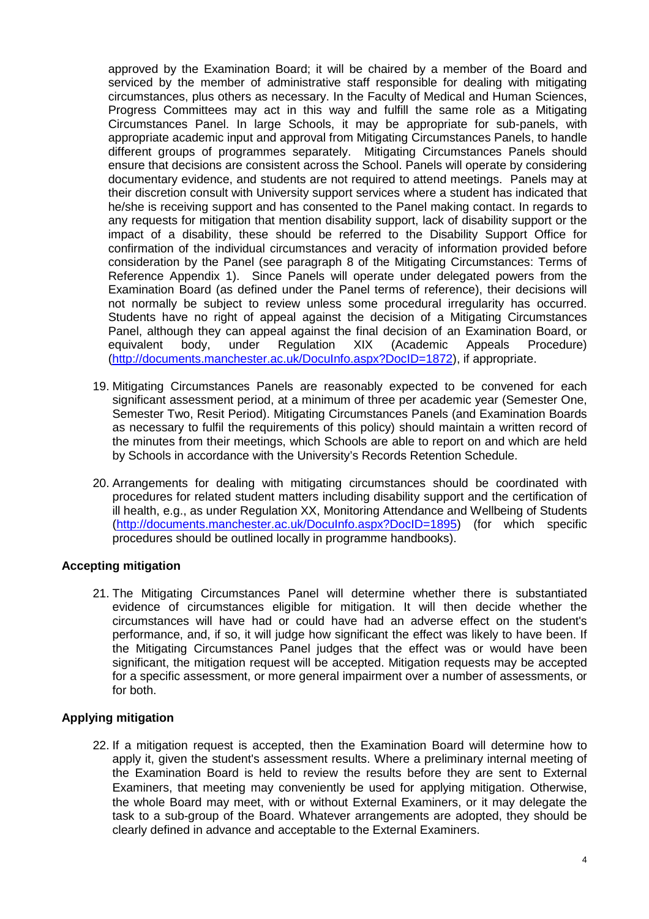approved by the Examination Board; it will be chaired by a member of the Board and serviced by the member of administrative staff responsible for dealing with mitigating circumstances, plus others as necessary. In the Faculty of Medical and Human Sciences, Progress Committees may act in this way and fulfill the same role as a Mitigating Circumstances Panel. In large Schools, it may be appropriate for sub-panels, with appropriate academic input and approval from Mitigating Circumstances Panels, to handle different groups of programmes separately. Mitigating Circumstances Panels should ensure that decisions are consistent across the School. Panels will operate by considering documentary evidence, and students are not required to attend meetings. Panels may at their discretion consult with University support services where a student has indicated that he/she is receiving support and has consented to the Panel making contact. In regards to any requests for mitigation that mention disability support, lack of disability support or the impact of a disability, these should be referred to the Disability Support Office for confirmation of the individual circumstances and veracity of information provided before consideration by the Panel (see paragraph 8 of the Mitigating Circumstances: Terms of Reference Appendix 1). Since Panels will operate under delegated powers from the Examination Board (as defined under the Panel terms of reference), their decisions will not normally be subject to review unless some procedural irregularity has occurred. Students have no right of appeal against the decision of a Mitigating Circumstances Panel, although they can appeal against the final decision of an Examination Board, or equivalent body, under Regulation XIX (Academic Appeals Procedure) equivalent body, under Regulation XIX (Academic Appeals Procedure) [\(http://documents.manchester.ac.uk/DocuInfo.aspx?DocID=1872\)](http://documents.manchester.ac.uk/DocuInfo.aspx?DocID=1872), if appropriate.

- 19. Mitigating Circumstances Panels are reasonably expected to be convened for each significant assessment period, at a minimum of three per academic year (Semester One, Semester Two, Resit Period). Mitigating Circumstances Panels (and Examination Boards as necessary to fulfil the requirements of this policy) should maintain a written record of the minutes from their meetings, which Schools are able to report on and which are held by Schools in accordance with the University's Records Retention Schedule.
- 20. Arrangements for dealing with mitigating circumstances should be coordinated with procedures for related student matters including disability support and the certification of ill health, e.g., as under Regulation XX, Monitoring Attendance and Wellbeing of Students [\(http://documents.manchester.ac.uk/DocuInfo.aspx?DocID=1895\)](http://documents.manchester.ac.uk/DocuInfo.aspx?DocID=1895) (for which specific procedures should be outlined locally in programme handbooks).

## **Accepting mitigation**

21. The Mitigating Circumstances Panel will determine whether there is substantiated evidence of circumstances eligible for mitigation. It will then decide whether the circumstances will have had or could have had an adverse effect on the student's performance, and, if so, it will judge how significant the effect was likely to have been. If the Mitigating Circumstances Panel judges that the effect was or would have been significant, the mitigation request will be accepted. Mitigation requests may be accepted for a specific assessment, or more general impairment over a number of assessments, or for both.

## **Applying mitigation**

22. If a mitigation request is accepted, then the Examination Board will determine how to apply it, given the student's assessment results. Where a preliminary internal meeting of the Examination Board is held to review the results before they are sent to External Examiners, that meeting may conveniently be used for applying mitigation. Otherwise, the whole Board may meet, with or without External Examiners, or it may delegate the task to a sub-group of the Board. Whatever arrangements are adopted, they should be clearly defined in advance and acceptable to the External Examiners.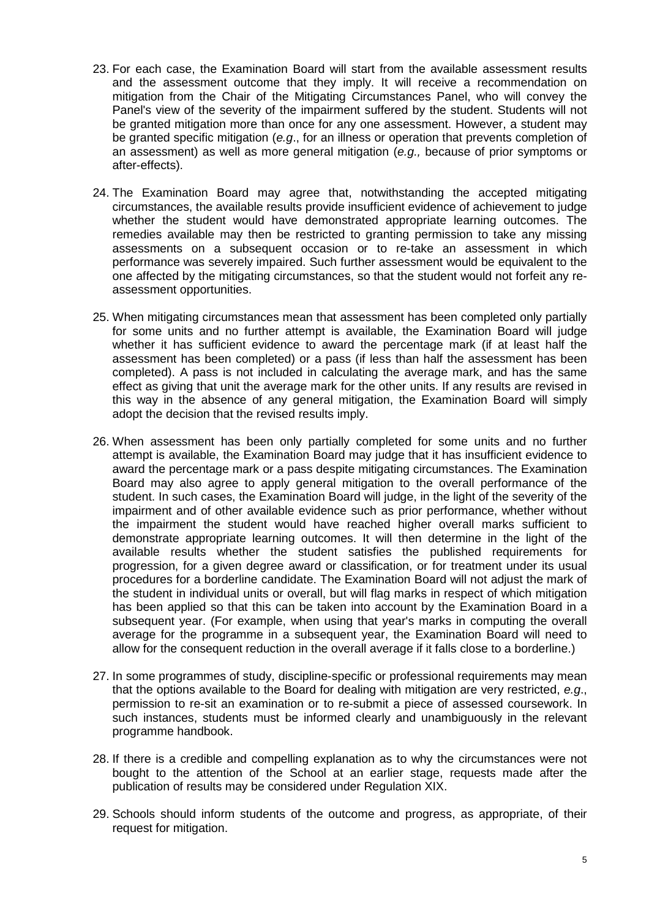- 23. For each case, the Examination Board will start from the available assessment results and the assessment outcome that they imply. It will receive a recommendation on mitigation from the Chair of the Mitigating Circumstances Panel, who will convey the Panel's view of the severity of the impairment suffered by the student. Students will not be granted mitigation more than once for any one assessment. However, a student may be granted specific mitigation (*e.g*., for an illness or operation that prevents completion of an assessment) as well as more general mitigation (*e.g.,* because of prior symptoms or after-effects).
- 24. The Examination Board may agree that, notwithstanding the accepted mitigating circumstances, the available results provide insufficient evidence of achievement to judge whether the student would have demonstrated appropriate learning outcomes. The remedies available may then be restricted to granting permission to take any missing assessments on a subsequent occasion or to re-take an assessment in which performance was severely impaired. Such further assessment would be equivalent to the one affected by the mitigating circumstances, so that the student would not forfeit any reassessment opportunities.
- 25. When mitigating circumstances mean that assessment has been completed only partially for some units and no further attempt is available, the Examination Board will judge whether it has sufficient evidence to award the percentage mark (if at least half the assessment has been completed) or a pass (if less than half the assessment has been completed). A pass is not included in calculating the average mark, and has the same effect as giving that unit the average mark for the other units. If any results are revised in this way in the absence of any general mitigation, the Examination Board will simply adopt the decision that the revised results imply.
- 26. When assessment has been only partially completed for some units and no further attempt is available, the Examination Board may judge that it has insufficient evidence to award the percentage mark or a pass despite mitigating circumstances. The Examination Board may also agree to apply general mitigation to the overall performance of the student. In such cases, the Examination Board will judge, in the light of the severity of the impairment and of other available evidence such as prior performance, whether without the impairment the student would have reached higher overall marks sufficient to demonstrate appropriate learning outcomes. It will then determine in the light of the available results whether the student satisfies the published requirements for progression, for a given degree award or classification, or for treatment under its usual procedures for a borderline candidate. The Examination Board will not adjust the mark of the student in individual units or overall, but will flag marks in respect of which mitigation has been applied so that this can be taken into account by the Examination Board in a subsequent year. (For example, when using that year's marks in computing the overall average for the programme in a subsequent year, the Examination Board will need to allow for the consequent reduction in the overall average if it falls close to a borderline.)
- 27. In some programmes of study, discipline-specific or professional requirements may mean that the options available to the Board for dealing with mitigation are very restricted, *e.g*., permission to re-sit an examination or to re-submit a piece of assessed coursework. In such instances, students must be informed clearly and unambiguously in the relevant programme handbook.
- 28. If there is a credible and compelling explanation as to why the circumstances were not bought to the attention of the School at an earlier stage, requests made after the publication of results may be considered under Regulation XIX.
- 29. Schools should inform students of the outcome and progress, as appropriate, of their request for mitigation.